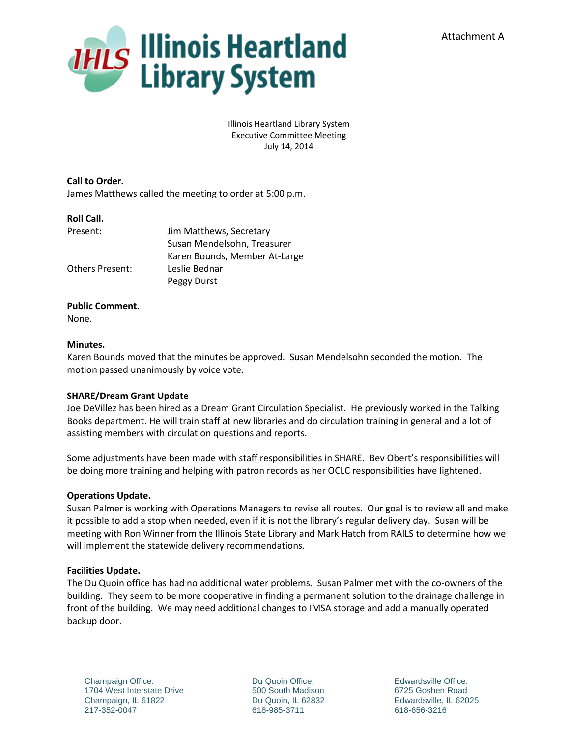

Illinois Heartland Library System Executive Committee Meeting July 14, 2014

**Call to Order.** James Matthews called the meeting to order at 5:00 p.m.

## **Roll Call.**

| Jim Matthews, Secretary       |
|-------------------------------|
| Susan Mendelsohn, Treasurer   |
| Karen Bounds, Member At-Large |
| Leslie Bednar                 |
| Peggy Durst                   |
|                               |

# **Public Comment.**

None.

## **Minutes.**

Karen Bounds moved that the minutes be approved. Susan Mendelsohn seconded the motion. The motion passed unanimously by voice vote.

# **SHARE/Dream Grant Update**

Joe DeVillez has been hired as a Dream Grant Circulation Specialist. He previously worked in the Talking Books department. He will train staff at new libraries and do circulation training in general and a lot of assisting members with circulation questions and reports.

Some adjustments have been made with staff responsibilities in SHARE. Bev Obert's responsibilities will be doing more training and helping with patron records as her OCLC responsibilities have lightened.

# **Operations Update.**

Susan Palmer is working with Operations Managers to revise all routes. Our goal is to review all and make it possible to add a stop when needed, even if it is not the library's regular delivery day. Susan will be meeting with Ron Winner from the Illinois State Library and Mark Hatch from RAILS to determine how we will implement the statewide delivery recommendations.

#### **Facilities Update.**

The Du Quoin office has had no additional water problems. Susan Palmer met with the co-owners of the building. They seem to be more cooperative in finding a permanent solution to the drainage challenge in front of the building. We may need additional changes to IMSA storage and add a manually operated backup door.

Champaign Office: 1704 West Interstate Drive Champaign, IL 61822 217-352-0047

Du Quoin Office: 500 South Madison Du Quoin, IL 62832 618-985-3711

Edwardsville Office: 6725 Goshen Road Edwardsville, IL 62025 618-656-3216